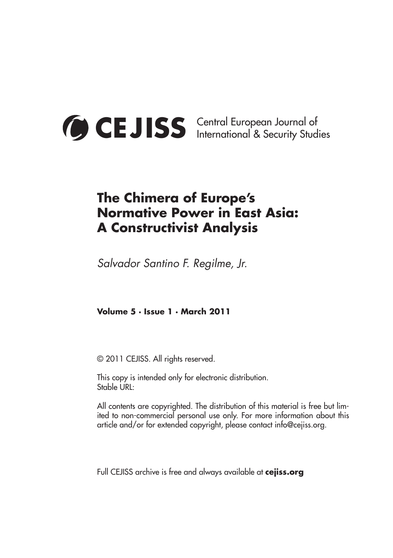

CEJISS Central European Journal of International & Security Studies

# **The Chimera of Europe's Normative Power in East Asia: A Constructivist Analysis**

*Salvador Santino F. Regilme, Jr.*

**Volume 5 · Issue 1 · March 2011**

© 2011 CEJISS. All rights reserved.

This copy is intended only for electronic distribution.  $Stable$  URL:

All contents are copyrighted. The distribution of this material is free but limited to non-commercial personal use only. For more information about this article and/or for extended copyright, please contact info@cejiss.org.

Full CEJISS archive is free and always available at **cejiss.org**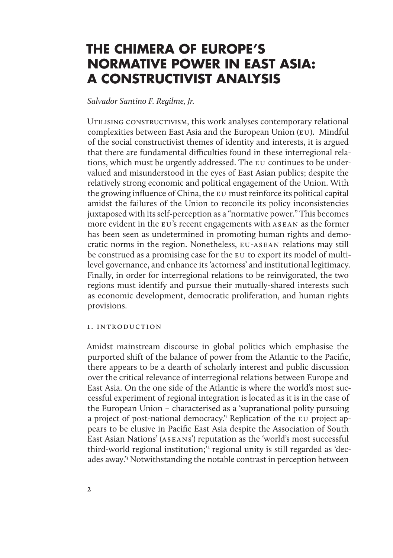# **THE CHIMERA OF EUROPE'S NORMATIVE POWER IN EAST ASIA: A CONSTRUCTIVIST ANALYSIS**

## *Salvador Santino F. Regilme, Jr.*

UTILISING CONSTRUCTIVISM, this work analyses contemporary relational complexities between East Asia and the European Union (Eu). Mindful of the social constructivist themes of identity and interests, it is argued that there are fundamental difficulties found in these interregional relations, which must be urgently addressed. The Eu continues to be undervalued and misunderstood in the eyes of East Asian publics; despite the relatively strong economic and political engagement of the Union. With the growing influence of China, the Eu must reinforce its political capital amidst the failures of the Union to reconcile its policy inconsistencies juxtaposed with its self-perception as a "normative power." This becomes more evident in the Eu's recent engagements with Asean as the former has been seen as undetermined in promoting human rights and democratic norms in the region. Nonetheless, Eu-Asean relations may still be construed as a promising case for the Eu to export its model of multilevel governance, and enhance its 'actorness' and institutional legitimacy. Finally, in order for interregional relations to be reinvigorated, the two regions must identify and pursue their mutually-shared interests such as economic development, democratic proliferation, and human rights provisions.

#### 1. introduction

Amidst mainstream discourse in global politics which emphasise the purported shift of the balance of power from the Atlantic to the Pacific, there appears to be a dearth of scholarly interest and public discussion over the critical relevance of interregional relations between Europe and East Asia. On the one side of the Atlantic is where the world's most successful experiment of regional integration is located as it is in the case of the European Union – characterised as a 'supranational polity pursuing a project of post-national democracy." Replication of the EU project appears to be elusive in Pacific East Asia despite the Association of South East Asian Nations' (Aseans') reputation as the 'world's most successful third-world regional institution;'<sup>2</sup> regional unity is still regarded as 'decades away.'3 Notwithstanding the notable contrast in perception between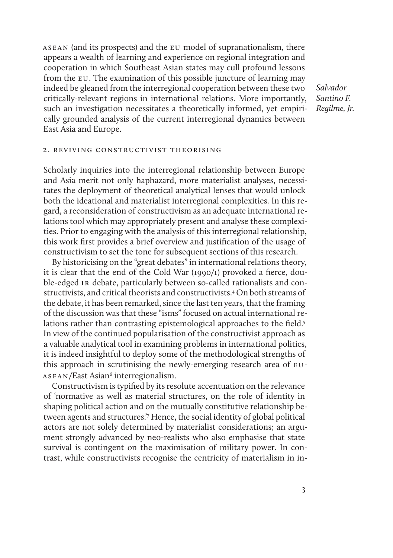Asean (and its prospects) and the Eu model of supranationalism, there appears a wealth of learning and experience on regional integration and cooperation in which Southeast Asian states may cull profound lessons from the Eu. The examination of this possible juncture of learning may indeed be gleaned from the interregional cooperation between these two critically-relevant regions in international relations. More importantly, such an investigation necessitates a theoretically informed, yet empirically grounded analysis of the current interregional dynamics between East Asia and Europe.

*Salvador Santino F. Regilme, Jr.*

#### 2. reviving constructivist theorising

Scholarly inquiries into the interregional relationship between Europe and Asia merit not only haphazard, more materialist analyses, necessitates the deployment of theoretical analytical lenses that would unlock both the ideational and materialist interregional complexities. In this regard, a reconsideration of constructivism as an adequate international relations tool which may appropriately present and analyse these complexities. Prior to engaging with the analysis of this interregional relationship, this work first provides a brief overview and justification of the usage of constructivism to set the tone for subsequent sections of this research.

By historicising on the "great debates" in international relations theory, it is clear that the end of the Cold War (1990/1) provoked a fierce, double-edged Ir debate, particularly between so-called rationalists and constructivists, and critical theorists and constructivists.4 On both streams of the debate, it has been remarked, since the last ten years, that the framing of the discussion was that these "isms" focused on actual international relations rather than contrasting epistemological approaches to the field.<sup>5</sup> In view of the continued popularisation of the constructivist approach as a valuable analytical tool in examining problems in international politics, it is indeed insightful to deploy some of the methodological strengths of this approach in scrutinising the newly-emerging research area of Eu-ASEAN/East Asian<sup>6</sup> interregionalism.

Constructivism is typified by its resolute accentuation on the relevance of 'normative as well as material structures, on the role of identity in shaping political action and on the mutually constitutive relationship between agents and structures.'7 Hence, the social identity of global political actors are not solely determined by materialist considerations; an argument strongly advanced by neo-realists who also emphasise that state survival is contingent on the maximisation of military power. In contrast, while constructivists recognise the centricity of materialism in in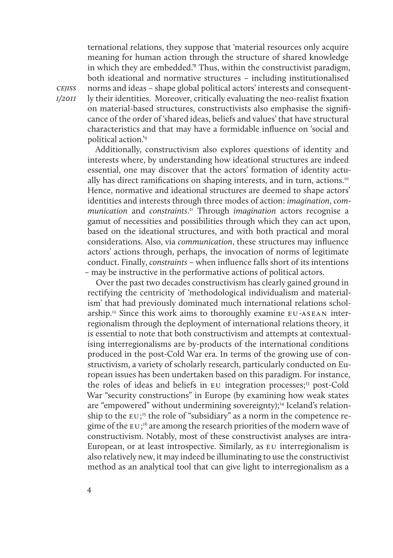ternational relations, they suppose that 'material resources only acquire meaning for human action through the structure of shared knowledge in which they are embedded.'8 Thus, within the constructivist paradigm, both ideational and normative structures – including institutionalised norms and ideas – shape global political actors' interests and consequent-

*cejiss 1/2011*

ly their identities. Moreover, critically evaluating the neo-realist fixation on material-based structures, constructivists also emphasise the significance of the order of 'shared ideas, beliefs and values' that have structural characteristics and that may have a formidable influence on 'social and political action.'9

Additionally, constructivism also explores questions of identity and interests where, by understanding how ideational structures are indeed essential, one may discover that the actors' formation of identity actually has direct ramifications on shaping interests, and in turn, actions.<sup>10</sup> Hence, normative and ideational structures are deemed to shape actors' identities and interests through three modes of action: *imagination*, *communication* and *constraints*. 11 Through *imagination* actors recognise a gamut of necessities and possibilities through which they can act upon, based on the ideational structures, and with both practical and moral considerations. Also, via *communication*, these structures may influence actors' actions through, perhaps, the invocation of norms of legitimate conduct. Finally, *constraints* – when influence falls short of its intentions – may be instructive in the performative actions of political actors.

Over the past two decades constructivism has clearly gained ground in rectifying the centricity of 'methodological individualism and materialism' that had previously dominated much international relations scholarship.<sup>12</sup> Since this work aims to thoroughly examine  $EU-ASEAN$  interregionalism through the deployment of international relations theory, it is essential to note that both constructivism and attempts at contextualising interregionalisms are by-products of the international conditions produced in the post-Cold War era. In terms of the growing use of constructivism, a variety of scholarly research, particularly conducted on European issues has been undertaken based on this paradigm. For instance, the roles of ideas and beliefs in Eu integration processes;13 post-Cold War "security constructions" in Europe (by examining how weak states are "empowered" without undermining sovereignty);<sup>14</sup> Iceland's relationship to the EU;<sup>15</sup> the role of "subsidiary" as a norm in the competence regime of the Eu; 16 are among the research priorities of the modern wave of constructivism. Notably, most of these constructivist analyses are intra-European, or at least introspective. Similarly, as Eu interregionalism is also relatively new, it may indeed be illuminating to use the constructivist method as an analytical tool that can give light to interregionalism as a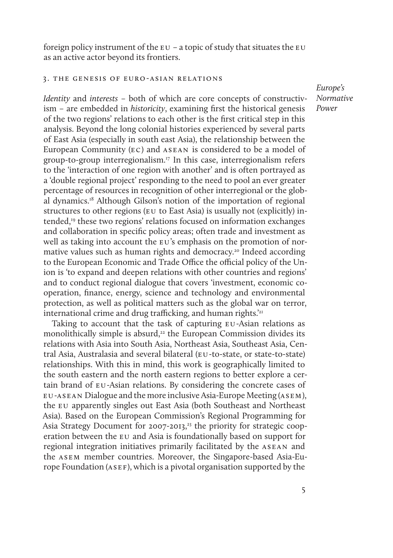foreign policy instrument of the  $\text{EU}$  – a topic of study that situates the EU as an active actor beyond its frontiers.

#### 3. the genesis of euro-asian relations

*Identity* and *interests –* both of which are core concepts of constructivism – are embedded in *historicity*, examining first the historical genesis of the two regions' relations to each other is the first critical step in this analysis. Beyond the long colonial histories experienced by several parts of East Asia (especially in south east Asia), the relationship between the European Community (Ec) and Asean is considered to be a model of group-to-group interregionalism.17 In this case, interregionalism refers to the 'interaction of one region with another' and is often portrayed as a 'double regional project' responding to the need to pool an ever greater percentage of resources in recognition of other interregional or the global dynamics.18 Although Gilson's notion of the importation of regional structures to other regions (Eu to East Asia) is usually not (explicitly) intended,<sup>19</sup> these two regions' relations focused on information exchanges and collaboration in specific policy areas; often trade and investment as well as taking into account the EU's emphasis on the promotion of normative values such as human rights and democracy.20 Indeed according to the European Economic and Trade Office the official policy of the Union is 'to expand and deepen relations with other countries and regions' and to conduct regional dialogue that covers 'investment, economic cooperation, finance, energy, science and technology and environmental protection, as well as political matters such as the global war on terror, international crime and drug trafficking, and human rights.'<sup>21</sup>

Taking to account that the task of capturing Eu-Asian relations as monolithically simple is absurd, $22$  the European Commission divides its relations with Asia into South Asia, Northeast Asia, Southeast Asia, Central Asia, Australasia and several bilateral (Eu-to-state, or state-to-state) relationships. With this in mind, this work is geographically limited to the south eastern and the north eastern regions to better explore a certain brand of Eu-Asian relations. By considering the concrete cases of Eu-Asean Dialogue and the more inclusive Asia-Europe Meeting (Asem), the Eu apparently singles out East Asia (both Southeast and Northeast Asia). Based on the European Commission's Regional Programming for Asia Strategy Document for 2007-2013,<sup>23</sup> the priority for strategic cooperation between the Eu and Asia is foundationally based on support for regional integration initiatives primarily facilitated by the Asean and the Asem member countries. Moreover, the Singapore-based Asia-Europe Foundation (ASEF), which is a pivotal organisation supported by the

*Europe's Normative Power*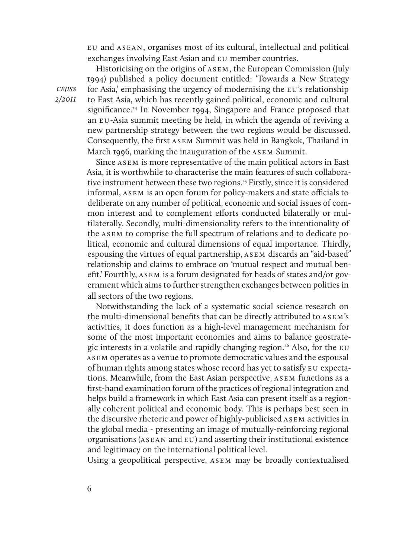Eu and Asean, organises most of its cultural, intellectual and political exchanges involving East Asian and Eu member countries.

*cejiss 2/2011*

Historicising on the origins of Asem, the European Commission (July 1994) published a policy document entitled: 'Towards a New Strategy for Asia,' emphasising the urgency of modernising the Eu's relationship to East Asia, which has recently gained political, economic and cultural significance.<sup>24</sup> In November 1994, Singapore and France proposed that an Eu-Asia summit meeting be held, in which the agenda of reviving a new partnership strategy between the two regions would be discussed. Consequently, the first Asem Summit was held in Bangkok, Thailand in March 1996, marking the inauguration of the Asem Summit.

Since Asem is more representative of the main political actors in East Asia, it is worthwhile to characterise the main features of such collaborative instrument between these two regions.<sup>25</sup> Firstly, since it is considered informal, Asem is an open forum for policy-makers and state officials to deliberate on any number of political, economic and social issues of common interest and to complement efforts conducted bilaterally or multilaterally. Secondly, multi-dimensionality refers to the intentionality of the Asem to comprise the full spectrum of relations and to dedicate political, economic and cultural dimensions of equal importance. Thirdly, espousing the virtues of equal partnership, Asem discards an "aid-based" relationship and claims to embrace on 'mutual respect and mutual benefit.' Fourthly, Asem is a forum designated for heads of states and/or government which aims to further strengthen exchanges between polities in all sectors of the two regions.

Notwithstanding the lack of a systematic social science research on the multi-dimensional benefits that can be directly attributed to Asem's activities, it does function as a high-level management mechanism for some of the most important economies and aims to balance geostrategic interests in a volatile and rapidly changing region.<sup>26</sup> Also, for the EU Asem operates as a venue to promote democratic values and the espousal of human rights among states whose record has yet to satisfy Eu expectations. Meanwhile, from the East Asian perspective, Asem functions as a first-hand examination forum of the practices of regional integration and helps build a framework in which East Asia can present itself as a regionally coherent political and economic body. This is perhaps best seen in the discursive rhetoric and power of highly-publicised Asem activities in the global media - presenting an image of mutually-reinforcing regional organisations (Asean and Eu) and asserting their institutional existence and legitimacy on the international political level.

Using a geopolitical perspective, Asem may be broadly contextualised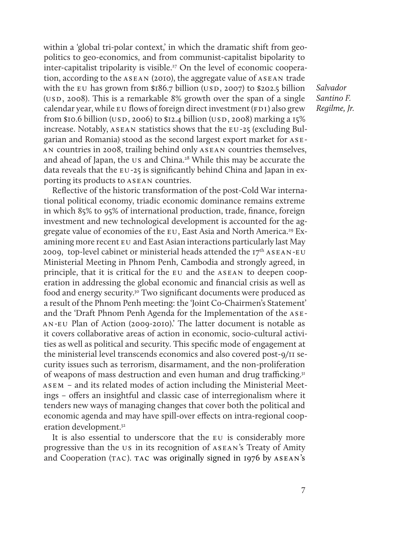within a 'global tri-polar context,' in which the dramatic shift from geopolitics to geo-economics, and from communist-capitalist bipolarity to inter-capitalist tripolarity is visible.<sup>27</sup> On the level of economic cooperation, according to the Asean (2010), the aggregate value of Asean trade with the EU has grown from  $$186.7$  billion (USD, 2007) to  $$202.5$  billion ( $USD$ , 2008). This is a remarkable 8% growth over the span of a single calendar year, while EU flows of foreign direct investment  $(FD1)$  also grew from \$10.6 billion (USD, 2006) to \$12.4 billion (USD, 2008) marking a 15% increase. Notably, Asean statistics shows that the Eu-25 (excluding Bulgarian and Romania) stood as the second largest export market for Asean countries in 2008, trailing behind only Asean countries themselves, and ahead of Japan, the US and China.<sup>28</sup> While this may be accurate the data reveals that the Eu-25 is significantly behind China and Japan in exporting its products to Asean countries.

Reflective of the historic transformation of the post-Cold War international political economy, triadic economic dominance remains extreme in which 85% to 95% of international production, trade, finance, foreign investment and new technological development is accounted for the aggregate value of economies of the Eu, East Asia and North America.29 Examining more recent Eu and East Asian interactions particularly last May 2009, top-level cabinet or ministerial heads attended the  $I7<sup>th</sup>$  ASEAN-EU Ministerial Meeting in Phnom Penh, Cambodia and strongly agreed, in principle, that it is critical for the Eu and the Asean to deepen cooperation in addressing the global economic and financial crisis as well as food and energy security.30 Two significant documents were produced as a result of the Phnom Penh meeting: the 'Joint Co-Chairmen's Statement' and the 'Draft Phnom Penh Agenda for the Implementation of the Asean-Eu Plan of Action (2009-2010).' The latter document is notable as it covers collaborative areas of action in economic, socio-cultural activities as well as political and security. This specific mode of engagement at the ministerial level transcends economics and also covered post-9/11 security issues such as terrorism, disarmament, and the non-proliferation of weapons of mass destruction and even human and drug trafficking.31 Asem – and its related modes of action including the Ministerial Meetings – offers an insightful and classic case of interregionalism where it tenders new ways of managing changes that cover both the political and economic agenda and may have spill-over effects on intra-regional cooperation development.<sup>32</sup>

It is also essential to underscore that the Eu is considerably more progressive than the Us in its recognition of Asean's Treaty of Amity and Cooperation (Tac). Tac was originally signed in 1976 by Asean's

*Salvador Santino F. Regilme, Jr.*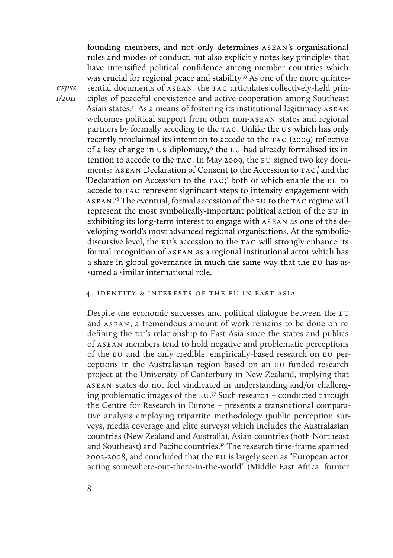founding members, and not only determines Asean's organisational rules and modes of conduct, but also explicitly notes key principles that have intensified political confidence among member countries which was crucial for regional peace and stability.<sup>33</sup> As one of the more quintessential documents of Asean, the Tac articulates collectively-held principles of peaceful coexistence and active cooperation among Southeast Asian states.<sup>34</sup> As a means of fostering its institutional legitimacy ASEAN welcomes political support from other non-Asean states and regional partners by formally acceding to the TAC. Unlike the US which has only recently proclaimed its intention to accede to the Tac (2009) reflective of a key change in us diplomacy, $35$  the EU had already formalised its intention to accede to the Tac. In May 2009, the Eu signed two key documents: 'Asean Declaration of Consent to the Accession to Tac,' and the 'Declaration on Accession to the Tac;' both of which enable the Eu to accede to Tac represent significant steps to intensify engagement with Asean. 36 The eventual, formal accession of the Eu to the Tac regime will represent the most symbolically-important political action of the Eu in exhibiting its long-term interest to engage with Asean as one of the developing world's most advanced regional organisations. At the symbolicdiscursive level, the Eu's accession to the Tac will strongly enhance its formal recognition of Asean as a regional institutional actor which has a share in global governance in much the same way that the Eu has assumed a similar international role.

#### 4. identity & interests of the eu in east asia

Despite the economic successes and political dialogue between the Eu and Asean, a tremendous amount of work remains to be done on redefining the Eu's relationship to East Asia since the states and publics of Asean members tend to hold negative and problematic perceptions of the Eu and the only credible, empirically-based research on Eu perceptions in the Australasian region based on an Eu-funded research project at the University of Canterbury in New Zealand, implying that Asean states do not feel vindicated in understanding and/or challenging problematic images of the  $EU$ .<sup>37</sup> Such research – conducted through the Centre for Research in Europe – presents a transnational comparative analysis employing tripartite methodology (public perception surveys, media coverage and elite surveys) which includes the Australasian countries (New Zealand and Australia), Asian countries (both Northeast and Southeast) and Pacific countries.<sup>38</sup> The research time-frame spanned 2002-2008, and concluded that the Eu is largely seen as "European actor, acting somewhere-out-there-in-the-world" (Middle East Africa, former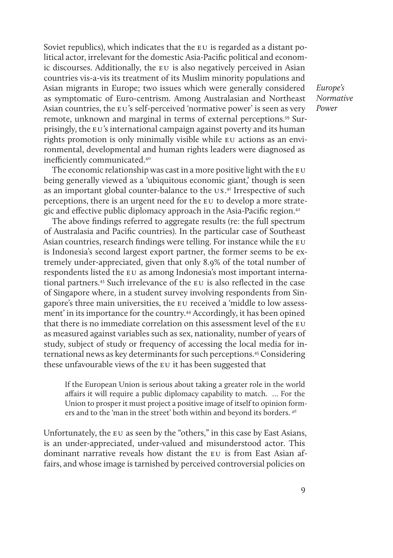Soviet republics), which indicates that the EU is regarded as a distant political actor, irrelevant for the domestic Asia-Pacific political and economic discourses. Additionally, the Eu is also negatively perceived in Asian countries vis-a-vis its treatment of its Muslim minority populations and Asian migrants in Europe; two issues which were generally considered as symptomatic of Euro-centrism. Among Australasian and Northeast Asian countries, the Eu's self-perceived 'normative power' is seen as very remote, unknown and marginal in terms of external perceptions.<sup>39</sup> Surprisingly, the Eu's international campaign against poverty and its human rights promotion is only minimally visible while Eu actions as an environmental, developmental and human rights leaders were diagnosed as inefficiently communicated.40

*Europe's Normative Power*

The economic relationship was cast in a more positive light with the EU being generally viewed as a 'ubiquitous economic giant,' though is seen as an important global counter-balance to the US.<sup>41</sup> Irrespective of such perceptions, there is an urgent need for the Eu to develop a more strategic and effective public diplomacy approach in the Asia-Pacific region.42

The above findings referred to aggregate results (re: the full spectrum of Australasia and Pacific countries). In the particular case of Southeast Asian countries, research findings were telling. For instance while the Eu is Indonesia's second largest export partner, the former seems to be extremely under-appreciated, given that only 8.9% of the total number of respondents listed the Eu as among Indonesia's most important international partners.43 Such irrelevance of the Eu is also reflected in the case of Singapore where, in a student survey involving respondents from Singapore's three main universities, the Eu received a 'middle to low assessment' in its importance for the country.<sup>44</sup> Accordingly, it has been opined that there is no immediate correlation on this assessment level of the Eu as measured against variables such as sex, nationality, number of years of study, subject of study or frequency of accessing the local media for international news as key determinants for such perceptions.45 Considering these unfavourable views of the Eu it has been suggested that

If the European Union is serious about taking a greater role in the world affairs it will require a public diplomacy capability to match. … For the Union to prosper it must project a positive image of itself to opinion formers and to the 'man in the street' both within and beyond its borders. *<sup>46</sup>*

Unfortunately, the Eu as seen by the "others," in this case by East Asians, is an under-appreciated, under-valued and misunderstood actor. This dominant narrative reveals how distant the Eu is from East Asian affairs, and whose image is tarnished by perceived controversial policies on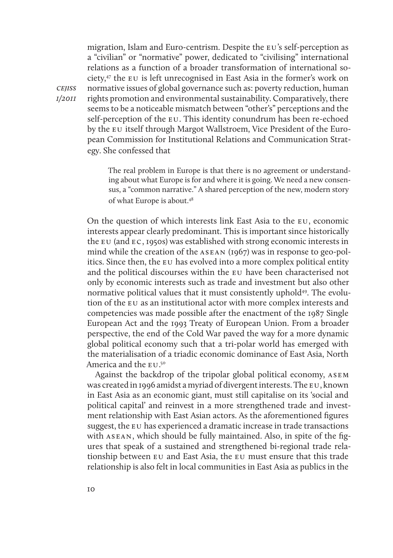migration, Islam and Euro-centrism. Despite the Eu's self-perception as a "civilian" or "normative" power, dedicated to "civilising" international relations as a function of a broader transformation of international society,47 the Eu is left unrecognised in East Asia in the former's work on normative issues of global governance such as: poverty reduction, human rights promotion and environmental sustainability. Comparatively, there seems to be a noticeable mismatch between "other's" perceptions and the self-perception of the Eu. This identity conundrum has been re-echoed by the Eu itself through Margot Wallstroem, Vice President of the European Commission for Institutional Relations and Communication Strategy. She confessed that

The real problem in Europe is that there is no agreement or understanding about what Europe is for and where it is going. We need a new consensus, a "common narrative." A shared perception of the new, modern story of what Europe is about.<sup>48</sup>

On the question of which interests link East Asia to the Eu, economic interests appear clearly predominant. This is important since historically the Eu (and EC, 1950s) was established with strong economic interests in mind while the creation of the Asean (1967) was in response to geo-politics. Since then, the Eu has evolved into a more complex political entity and the political discourses within the Eu have been characterised not only by economic interests such as trade and investment but also other normative political values that it must consistently uphold<sup>49</sup>. The evolution of the Eu as an institutional actor with more complex interests and competencies was made possible after the enactment of the 1987 Single European Act and the 1993 Treaty of European Union. From a broader perspective, the end of the Cold War paved the way for a more dynamic global political economy such that a tri-polar world has emerged with the materialisation of a triadic economic dominance of East Asia, North America and the EU.<sup>50</sup>

Against the backdrop of the tripolar global political economy, Asem was created in 1996 amidst a myriad of divergent interests. The Eu, known in East Asia as an economic giant, must still capitalise on its 'social and political capital' and reinvest in a more strengthened trade and investment relationship with East Asian actors. As the aforementioned figures suggest, the Eu has experienced a dramatic increase in trade transactions with Asean, which should be fully maintained. Also, in spite of the figures that speak of a sustained and strengthened bi-regional trade relationship between Eu and East Asia, the Eu must ensure that this trade relationship is also felt in local communities in East Asia as publics in the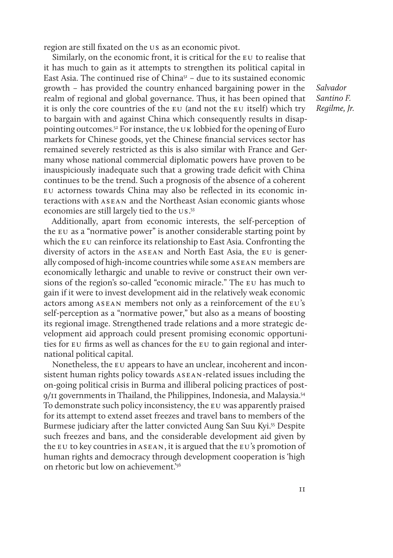region are still fixated on the us as an economic pivot.

Similarly, on the economic front, it is critical for the Eu to realise that it has much to gain as it attempts to strengthen its political capital in East Asia. The continued rise of China<sup>51</sup> - due to its sustained economic growth – has provided the country enhanced bargaining power in the realm of regional and global governance. Thus, it has been opined that it is only the core countries of the Eu (and not the Eu itself) which try to bargain with and against China which consequently results in disappointing outcomes.52 For instance, the Uk lobbied for the opening of Euro markets for Chinese goods, yet the Chinese financial services sector has remained severely restricted as this is also similar with France and Germany whose national commercial diplomatic powers have proven to be inauspiciously inadequate such that a growing trade deficit with China continues to be the trend. Such a prognosis of the absence of a coherent Eu actorness towards China may also be reflected in its economic interactions with Asean and the Northeast Asian economic giants whose economies are still largely tied to the US.<sup>53</sup>

Additionally, apart from economic interests, the self-perception of the Eu as a "normative power" is another considerable starting point by which the Eu can reinforce its relationship to East Asia. Confronting the diversity of actors in the asean and North East Asia, the Eu is generally composed of high-income countries while some Asean members are economically lethargic and unable to revive or construct their own versions of the region's so-called "economic miracle." The Eu has much to gain if it were to invest development aid in the relatively weak economic actors among Asean members not only as a reinforcement of the Eu's self-perception as a "normative power," but also as a means of boosting its regional image. Strengthened trade relations and a more strategic development aid approach could present promising economic opportunities for Eu firms as well as chances for the Eu to gain regional and international political capital.

Nonetheless, the Eu appears to have an unclear, incoherent and inconsistent human rights policy towards Asean-related issues including the on-going political crisis in Burma and illiberal policing practices of post-9/11 governments in Thailand, the Philippines, Indonesia, and Malaysia.54 To demonstrate such policy inconsistency, the Eu was apparently praised for its attempt to extend asset freezes and travel bans to members of the Burmese judiciary after the latter convicted Aung San Suu Kyi.55 Despite such freezes and bans, and the considerable development aid given by the Eu to key countries in Asean, it is argued that the Eu's promotion of human rights and democracy through development cooperation is 'high on rhetoric but low on achievement.'56

*Salvador Santino F. Regilme, Jr.*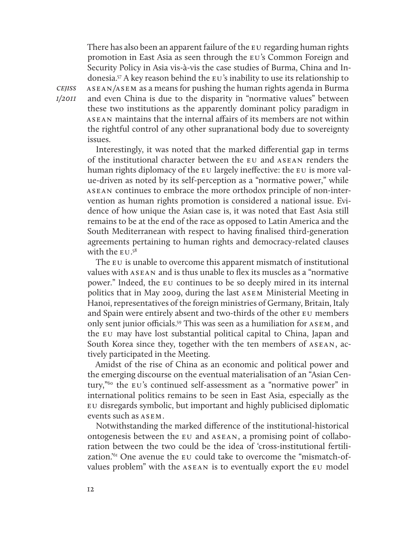There has also been an apparent failure of the Eu regarding human rights promotion in East Asia as seen through the Eu's Common Foreign and Security Policy in Asia vis-à-vis the case studies of Burma, China and Indonesia.57 A key reason behind the Eu's inability to use its relationship to Asean/Asem as a means for pushing the human rights agenda in Burma and even China is due to the disparity in "normative values" between these two institutions as the apparently dominant policy paradigm in Asean maintains that the internal affairs of its members are not within the rightful control of any other supranational body due to sovereignty issues.

Interestingly, it was noted that the marked differential gap in terms of the institutional character between the Eu and Asean renders the human rights diplomacy of the EU largely ineffective: the EU is more value-driven as noted by its self-perception as a "normative power," while Asean continues to embrace the more orthodox principle of non-intervention as human rights promotion is considered a national issue. Evidence of how unique the Asian case is, it was noted that East Asia still remains to be at the end of the race as opposed to Latin America and the South Mediterranean with respect to having finalised third-generation agreements pertaining to human rights and democracy-related clauses with the Eu. 58

The EU is unable to overcome this apparent mismatch of institutional values with Asean and is thus unable to flex its muscles as a "normative power." Indeed, the Eu continues to be so deeply mired in its internal politics that in May 2009, during the last Asem Ministerial Meeting in Hanoi, representatives of the foreign ministries of Germany, Britain, Italy and Spain were entirely absent and two-thirds of the other Eu members only sent junior officials.59 This was seen as a humiliation for Asem, and the Eu may have lost substantial political capital to China, Japan and South Korea since they, together with the ten members of ASEAN, actively participated in the Meeting.

Amidst of the rise of China as an economic and political power and the emerging discourse on the eventual materialisation of an "Asian Century,"60 the Eu's continued self-assessment as a "normative power" in international politics remains to be seen in East Asia, especially as the Eu disregards symbolic, but important and highly publicised diplomatic events such as Asem.

Notwithstanding the marked difference of the institutional-historical ontogenesis between the Eu and Asean, a promising point of collaboration between the two could be the idea of 'cross-institutional fertilization.'61 One avenue the Eu could take to overcome the "mismatch-ofvalues problem" with the Asean is to eventually export the Eu model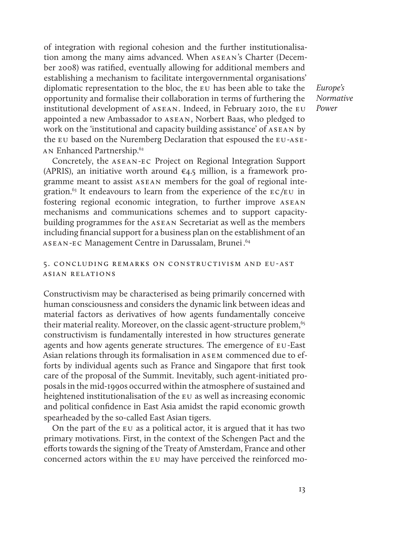of integration with regional cohesion and the further institutionalisation among the many aims advanced. When Asean's Charter (December 2008) was ratified, eventually allowing for additional members and establishing a mechanism to facilitate intergovernmental organisations' diplomatic representation to the bloc, the Eu has been able to take the opportunity and formalise their collaboration in terms of furthering the institutional development of Asean. Indeed, in February 2010, the Eu appointed a new Ambassador to Asean, Norbert Baas, who pledged to work on the 'institutional and capacity building assistance' of Asean by the Eu based on the Nuremberg Declaration that espoused the Eu-Ase-AN Enhanced Partnership.<sup>62</sup>

*Europe's Normative Power*

Concretely, the Asean-ec Project on Regional Integration Support (APRIS), an initiative worth around  $\epsilon_4$ .5 million, is a framework programme meant to assist Asean members for the goal of regional integration.<sup>63</sup> It endeavours to learn from the experience of the  $EC/EU$  in fostering regional economic integration, to further improve Asean mechanisms and communications schemes and to support capacitybuilding programmes for the Asean Secretariat as well as the members including financial support for a business plan on the establishment of an Asean-Ec Management Centre in Darussalam, Brunei. 64

## 5. concluding remarks on constructivism and eu-ast asian relations

Constructivism may be characterised as being primarily concerned with human consciousness and considers the dynamic link between ideas and material factors as derivatives of how agents fundamentally conceive their material reality. Moreover, on the classic agent-structure problem,<sup>65</sup> constructivism is fundamentally interested in how structures generate agents and how agents generate structures. The emergence of Eu-East Asian relations through its formalisation in Asem commenced due to efforts by individual agents such as France and Singapore that first took care of the proposal of the Summit. Inevitably, such agent-initiated proposals in the mid-1990s occurred within the atmosphere of sustained and heightened institutionalisation of the EU as well as increasing economic and political confidence in East Asia amidst the rapid economic growth spearheaded by the so-called East Asian tigers.

On the part of the Eu as a political actor, it is argued that it has two primary motivations. First, in the context of the Schengen Pact and the efforts towards the signing of the Treaty of Amsterdam, France and other concerned actors within the Eu may have perceived the reinforced mo-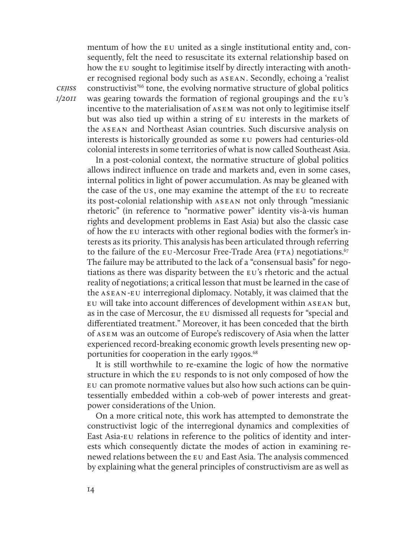mentum of how the EU united as a single institutional entity and, consequently, felt the need to resuscitate its external relationship based on how the Eu sought to legitimise itself by directly interacting with another recognised regional body such as Asean. Secondly, echoing a 'realist constructivist'66 tone, the evolving normative structure of global politics was gearing towards the formation of regional groupings and the Eu's incentive to the materialisation of Asem was not only to legitimise itself but was also tied up within a string of Eu interests in the markets of the Asean and Northeast Asian countries. Such discursive analysis on interests is historically grounded as some Eu powers had centuries-old colonial interests in some territories of what is now called Southeast Asia.

In a post-colonial context, the normative structure of global politics allows indirect influence on trade and markets and, even in some cases, internal politics in light of power accumulation. As may be gleaned with the case of the us, one may examine the attempt of the Eu to recreate its post-colonial relationship with Asean not only through "messianic rhetoric" (in reference to "normative power" identity vis-à-vis human rights and development problems in East Asia) but also the classic case of how the Eu interacts with other regional bodies with the former's interests as its priority. This analysis has been articulated through referring to the failure of the EU-Mercosur Free-Trade Area (FTA) negotiations.<sup>67</sup> The failure may be attributed to the lack of a "consensual basis" for negotiations as there was disparity between the Eu's rhetoric and the actual reality of negotiations; a critical lesson that must be learned in the case of the Asean-Eu interregional diplomacy. Notably, it was claimed that the Eu will take into account differences of development within Asean but, as in the case of Mercosur, the Eu dismissed all requests for "special and differentiated treatment." Moreover, it has been conceded that the birth of Asem was an outcome of Europe's rediscovery of Asia when the latter experienced record-breaking economic growth levels presenting new opportunities for cooperation in the early 1990s.<sup>68</sup>

It is still worthwhile to re-examine the logic of how the normative structure in which the Eu responds to is not only composed of how the Eu can promote normative values but also how such actions can be quintessentially embedded within a cob-web of power interests and greatpower considerations of the Union.

On a more critical note, this work has attempted to demonstrate the constructivist logic of the interregional dynamics and complexities of East Asia-Eu relations in reference to the politics of identity and interests which consequently dictate the modes of action in examining renewed relations between the Eu and East Asia. The analysis commenced by explaining what the general principles of constructivism are as well as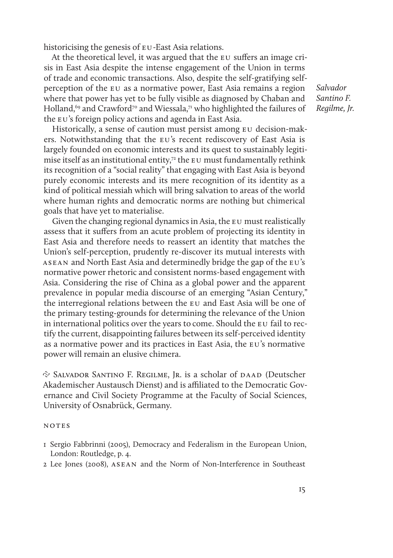historicising the genesis of EU-East Asia relations.

At the theoretical level, it was argued that the Eu suffers an image crisis in East Asia despite the intense engagement of the Union in terms of trade and economic transactions. Also, despite the self-gratifying selfperception of the Eu as a normative power, East Asia remains a region where that power has yet to be fully visible as diagnosed by Chaban and Holland,<sup>69</sup> and Crawford<sup>70</sup> and Wiessala,<sup>71</sup> who highlighted the failures of the Eu's foreign policy actions and agenda in East Asia.

Historically, a sense of caution must persist among Eu decision-makers. Notwithstanding that the Eu's recent rediscovery of East Asia is largely founded on economic interests and its quest to sustainably legitimise itself as an institutional entity, $72$  the EU must fundamentally rethink its recognition of a "social reality" that engaging with East Asia is beyond purely economic interests and its mere recognition of its identity as a kind of political messiah which will bring salvation to areas of the world where human rights and democratic norms are nothing but chimerical goals that have yet to materialise.

Given the changing regional dynamics in Asia, the Eu must realistically assess that it suffers from an acute problem of projecting its identity in East Asia and therefore needs to reassert an identity that matches the Union's self-perception, prudently re-discover its mutual interests with Asean and North East Asia and determinedly bridge the gap of the Eu's normative power rhetoric and consistent norms-based engagement with Asia. Considering the rise of China as a global power and the apparent prevalence in popular media discourse of an emerging "Asian Century," the interregional relations between the Eu and East Asia will be one of the primary testing-grounds for determining the relevance of the Union in international politics over the years to come. Should the Eu fail to rectify the current, disappointing failures between its self-perceived identity as a normative power and its practices in East Asia, the Eu's normative power will remain an elusive chimera.

 Salvador Santino F. Regilme, Jr. is a scholar of daad (Deutscher Akademischer Austausch Dienst) and is affiliated to the Democratic Governance and Civil Society Programme at the Faculty of Social Sciences, University of Osnabrück, Germany.

#### notes

- 1 Sergio Fabbrinni (2005), Democracy and Federalism in the European Union, London: Routledge, p. 4.
- 2 Lee Jones (2008), Asean and the Norm of Non-Interference in Southeast

*Salvador Santino F. Regilme, Jr.*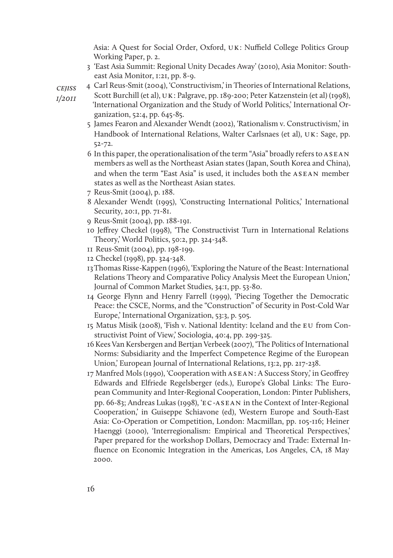Asia: A Quest for Social Order, Oxford, Uk: Nuffield College Politics Group Working Paper, p. 2.

3 'East Asia Summit: Regional Unity Decades Away' (2010), Asia Monitor: Southeast Asia Monitor, 1:21, pp. 8-9.

- 4 Carl Reus-Smit (2004), 'Constructivism,' in Theories of International Relations,
- Scott Burchill (et al), Uk: Palgrave, pp. 189-200; Peter Katzenstein (et al) (1998), 'International Organization and the Study of World Politics,' International Organization, 52:4, pp. 645-85.
	- 5 James Fearon and Alexander Wendt (2002), 'Rationalism v. Constructivism,' in Handbook of International Relations, Walter Carlsnaes (et al), Uk: Sage, pp. 52-72.
	- 6 In this paper, the operationalisation of the term "Asia" broadly refers to Asean members as well as the Northeast Asian states (Japan, South Korea and China), and when the term "East Asia" is used, it includes both the Asean member states as well as the Northeast Asian states.
	- 7 Reus-Smit (2004), p. 188.
	- 8 Alexander Wendt (1995), 'Constructing International Politics,' International Security, 20:1, pp. 71-81.
	- 9 Reus-Smit (2004), pp. 188-191.
	- 10 Jeffrey Checkel (1998), 'The Constructivist Turn in International Relations Theory,' World Politics, 50:2, pp. 324-348.
	- 11 Reus-Smit (2004), pp. 198-199.
	- 12 Checkel (1998), pp. 324-348.
	- 13Thomas Risse-Kappen (1996), 'Exploring the Nature of the Beast: International Relations Theory and Comparative Policy Analysis Meet the European Union,' Journal of Common Market Studies, 34:1, pp. 53-80.
	- 14 George Flynn and Henry Farrell (1999), 'Piecing Together the Democratic Peace: the CSCE, Norms, and the "Construction" of Security in Post-Cold War Europe,' International Organization, 53:3, p. 505.
	- 15 Matus Misik (2008), 'Fish v. National Identity: Iceland and the Eu from Constructivist Point of View,' Sociologia, 40:4, pp. 299-325.
	- 16 Kees Van Kersbergen and Bertjan Verbeek (2007), 'The Politics of International Norms: Subsidiarity and the Imperfect Competence Regime of the European Union,' European Journal of International Relations, 13:2, pp. 217-238.
	- 17 Manfred Mols (1990), 'Cooperation with Asean: A Success Story,' in Geoffrey Edwards and Elfriede Regelsberger (eds.), Europe's Global Links: The European Community and Inter-Regional Cooperation, London: Pinter Publishers, pp. 66-83; Andreas Lukas (1998), 'Ec-Asean in the Context of Inter-Regional Cooperation,' in Guiseppe Schiavone (ed), Western Europe and South-East Asia: Co-Operation or Competition, London: Macmillan, pp. 105-116; Heiner Haenggi (2000), 'Interregionalism: Empirical and Theoretical Perspectives,' Paper prepared for the workshop Dollars, Democracy and Trade: External Influence on Economic Integration in the Americas, Los Angeles, CA, 18 May 2000.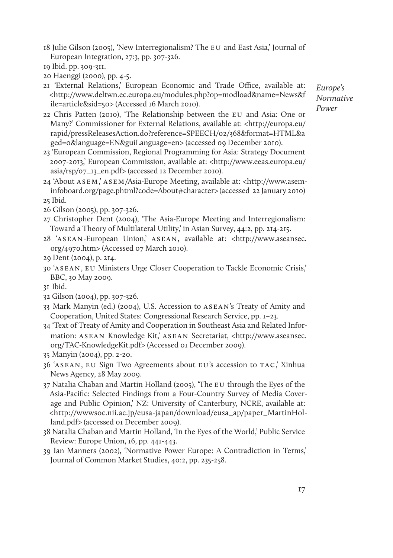- 18 Julie Gilson (2005), 'New Interregionalism? The Eu and East Asia,' Journal of European Integration, 27:3, pp. 307-326.
- 19 Ibid. pp. 309-311.
- 20 Haenggi (2000), pp. 4-5.
- 21 'External Relations,' European Economic and Trade Office, available at: <http://www.deltwn.ec.europa.eu/modules.php?op=modload&name=News&f ile=article&sid=50> (Accessed 16 March 2010).
- 22 Chris Patten (2010), 'The Relationship between the Eu and Asia: One or Many?' Commissioner for External Relations, available at: <http://europa.eu/ rapid/pressReleasesAction.do?reference=SPEECH/02/368&format=HTML&a ged=0&language=EN&guiLanguage=en> (accessed 09 December 2010).
- 23 'European Commission, Regional Programming for Asia: Strategy Document 2007-2013,' European Commission, available at: <http://www.eeas.europa.eu/ asia/rsp/07\_13\_en.pdf> (accessed 12 December 2010).
- 24 'About Asem,' Asem/Asia-Europe Meeting, available at: <http://www.aseminfoboard.org/page.phtml?code=About#character> (accessed 22 January 2010) 25 Ibid.
- 26 Gilson (2005), pp. 307-326.
- 27 Christopher Dent (2004), 'The Asia-Europe Meeting and Interregionalism: Toward a Theory of Multilateral Utility,' in Asian Survey, 44:2, pp. 214-215.
- 28 'Asean-European Union,' Asean, available at: <http://www.aseansec. org/4970.htm> (Accessed 07 March 2010).
- 29 Dent (2004), p. 214.
- 30 'Asean, Eu Ministers Urge Closer Cooperation to Tackle Economic Crisis,' BBC, 30 May 2009.
- 31 Ibid.
- 32 Gilson (2004), pp. 307-326.
- 33 Mark Manyin (ed.) (2004), U.S. Accession to Asean's Treaty of Amity and Cooperation, United States: Congressional Research Service, pp. 1–23.
- 34 'Text of Treaty of Amity and Cooperation in Southeast Asia and Related Information: Asean Knowledge Kit,' Asean Secretariat, <http://www.aseansec. org/TAC-KnowledgeKit.pdf> (Accessed 01 December 2009).
- 35 Manyin (2004), pp. 2-20.
- 36 'Asean, Eu Sign Two Agreements about Eu's accession to Tac,' Xinhua News Agency, 28 May 2009.
- 37 Natalia Chaban and Martin Holland (2005), 'The Eu through the Eyes of the Asia-Pacific: Selected Findings from a Four-Country Survey of Media Coverage and Public Opinion,' NZ: University of Canterbury, NCRE, available at: <http://wwwsoc.nii.ac.jp/eusa-japan/download/eusa\_ap/paper\_MartinHolland.pdf> (accessed 01 December 2009).
- 38 Natalia Chaban and Martin Holland, 'In the Eyes of the World,' Public Service Review: Europe Union, 16, pp. 441-443.
- 39 Ian Manners (2002), 'Normative Power Europe: A Contradiction in Terms,' Journal of Common Market Studies, 40:2, pp. 235-258.

*Europe's Normative Power*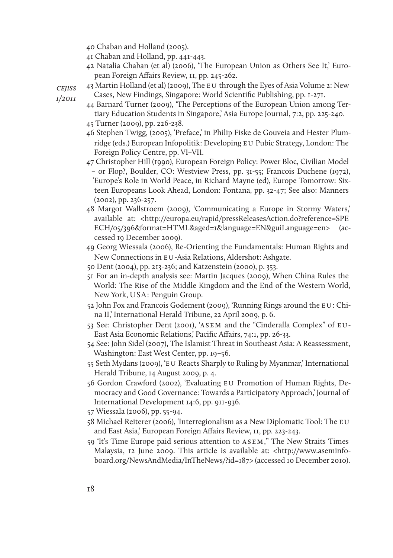40 Chaban and Holland (2005).

- 41 Chaban and Holland, pp. 441-443.
- 42 Natalia Chaban (et al) (2006), 'The European Union as Others See It,' European Foreign Affairs Review, 11, pp. 245-262.
- 43 Martin Holland (et al) (2009), The Eu through the Eyes of Asia Volume 2: New Cases, New Findings, Singapore: World Scientific Publishing, pp. 1-271.
	- 44 Barnard Turner (2009), 'The Perceptions of the European Union among Tertiary Education Students in Singapore,' Asia Europe Journal, 7:2, pp. 225-240. 45 Turner (2009), pp. 226-238.
	- 46 Stephen Twigg, (2005), 'Preface,' in Philip Fiske de Gouveia and Hester Plumridge (eds.) European Infopolitik: Developing Eu Pubic Strategy, London: The Foreign Policy Centre, pp. VI–VII.
	- 47 Christopher Hill (1990), European Foreign Policy: Power Bloc, Civilian Model – or Flop?, Boulder, CO: Westview Press, pp. 31-55; Francois Duchene (1972), 'Europe's Role in World Peace, in Richard Mayne (ed), Europe Tomorrow: Sixteen Europeans Look Ahead, London: Fontana, pp. 32-47; See also: Manners (2002), pp. 236-257.
	- 48 Margot Wallstroem (2009), 'Communicating a Europe in Stormy Waters,' available at: <http://europa.eu/rapid/pressReleasesAction.do?reference=SPE ECH/05/396&format=HTML&aged=1&language=EN&guiLanguage=en> (accessed 19 December 2009).
	- 49 Georg Wiessala (2006), Re-Orienting the Fundamentals: Human Rights and New Connections in Eu-Asia Relations, Aldershot: Ashgate.
	- 50 Dent (2004), pp. 213-236; and Katzenstein (2000), p. 353.
	- 51 For an in-depth analysis see: Martin Jacques (2009), When China Rules the World: The Rise of the Middle Kingdom and the End of the Western World, New York, USA: Penguin Group.
	- 52 John Fox and Francois Godement (2009), 'Running Rings around the Eu: China II,' International Herald Tribune, 22 April 2009, p. 6.
	- 53 See: Christopher Dent (2001), 'Asem and the "Cinderalla Complex" of Eu-East Asia Economic Relations,' Pacific Affairs, 74:1, pp. 26-33.
	- 54 See: John Sidel (2007), The Islamist Threat in Southeast Asia: A Reassessment, Washington: East West Center, pp. 19–56.
	- 55 Seth Mydans (2009), 'Eu Reacts Sharply to Ruling by Myanmar,' International Herald Tribune, 14 August 2009, p. 4.
	- 56 Gordon Crawford (2002), 'Evaluating Eu Promotion of Human Rights, Democracy and Good Governance: Towards a Participatory Approach,' Journal of International Development 14:6, pp. 911-936.
	- 57 Wiessala (2006), pp. 55-94.
	- 58 Michael Reiterer (2006), 'Interregionalism as a New Diplomatic Tool: The Eu and East Asia,' European Foreign Affairs Review, 11, pp. 223-243.
	- 59 'It's Time Europe paid serious attention to Asem," The New Straits Times Malaysia, 12 June 2009. This article is available at: <http://www.aseminfoboard.org/NewsAndMedia/InTheNews/?id=187> (accessed 10 December 2010).